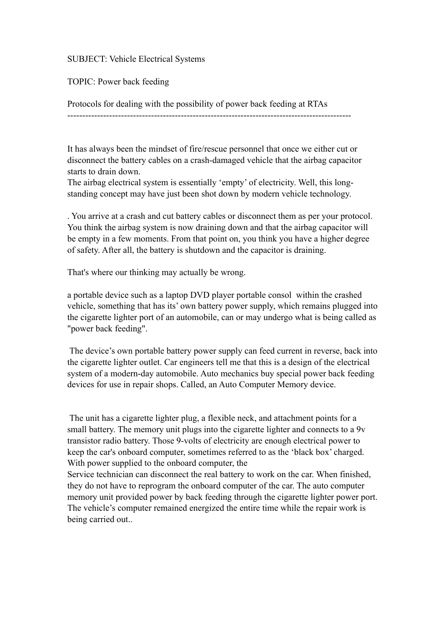## SUBJECT: Vehicle Electrical Systems

TOPIC: Power back feeding

Protocols for dealing with the possibility of power back feeding at RTAs

-----------------------------------------------------------------------------------------------

It has always been the mindset of fire/rescue personnel that once we either cut or disconnect the battery cables on a crash-damaged vehicle that the airbag capacitor starts to drain down.

The airbag electrical system is essentially 'empty' of electricity. Well, this longstanding concept may have just been shot down by modern vehicle technology.

. You arrive at a crash and cut battery cables or disconnect them as per your protocol. You think the airbag system is now draining down and that the airbag capacitor will be empty in a few moments. From that point on, you think you have a higher degree of safety. After all, the battery is shutdown and the capacitor is draining.

That's where our thinking may actually be wrong.

a portable device such as a laptop DVD player portable consol within the crashed vehicle, something that has its' own battery power supply, which remains plugged into the cigarette lighter port of an automobile, can or may undergo what is being called as "power back feeding".

 The device's own portable battery power supply can feed current in reverse, back into the cigarette lighter outlet. Car engineers tell me that this is a design of the electrical system of a modern-day automobile. Auto mechanics buy special power back feeding devices for use in repair shops. Called, an Auto Computer Memory device.

 The unit has a cigarette lighter plug, a flexible neck, and attachment points for a small battery. The memory unit plugs into the cigarette lighter and connects to a 9v transistor radio battery. Those 9-volts of electricity are enough electrical power to keep the car's onboard computer, sometimes referred to as the 'black box' charged. With power supplied to the onboard computer, the

Service technician can disconnect the real battery to work on the car. When finished, they do not have to reprogram the onboard computer of the car. The auto computer memory unit provided power by back feeding through the cigarette lighter power port. The vehicle's computer remained energized the entire time while the repair work is being carried out..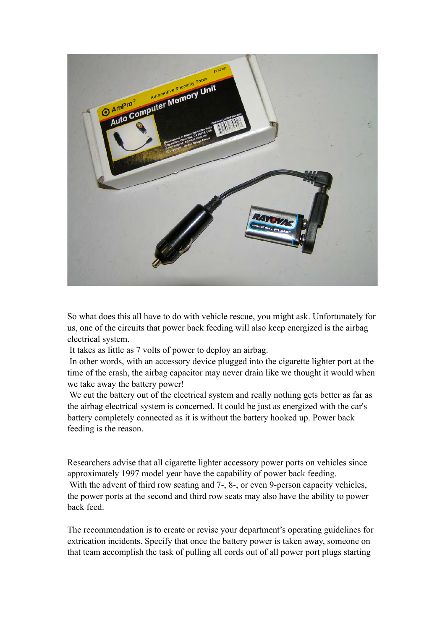

So what does this all have to do with vehicle rescue, you might ask. Unfortunately for us, one of the circuits that power back feeding will also keep energized is the airbag electrical system.

It takes as little as 7 volts of power to deploy an airbag.

 In other words, with an accessory device plugged into the cigarette lighter port at the time of the crash, the airbag capacitor may never drain like we thought it would when we take away the battery power!

 We cut the battery out of the electrical system and really nothing gets better as far as the airbag electrical system is concerned. It could be just as energized with the car's battery completely connected as it is without the battery hooked up. Power back feeding is the reason.

Researchers advise that all cigarette lighter accessory power ports on vehicles since approximately 1997 model year have the capability of power back feeding. With the advent of third row seating and 7-, 8-, or even 9-person capacity vehicles, the power ports at the second and third row seats may also have the ability to power back feed.

The recommendation is to create or revise your department's operating guidelines for extrication incidents. Specify that once the battery power is taken away, someone on that team accomplish the task of pulling all cords out of all power port plugs starting